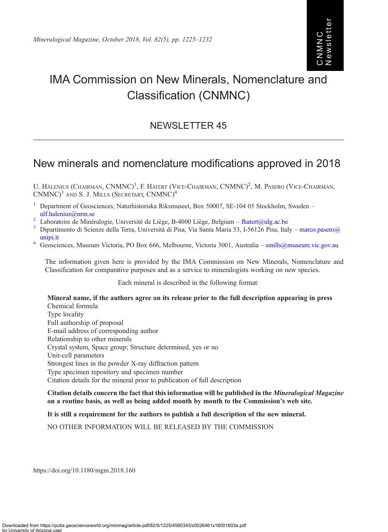# IMA Commission on New Minerals, Nomenclature and Classification (CNMNC)

## NEWSLETTER 45

## New minerals and nomenclature modifications approved in 2018

U. HALENIUS (CHAIRMAN, CNMNC)<sup>1</sup>, F. HATERT (VICE-CHAIRMAN, CNMNC)<sup>2</sup>, M. PASERO (VICE-CHAIRMAN, CNMNC)<sup>3</sup> AND S. J. MILLS (SECRETARY, CNMNC)<sup>4</sup>

- <sup>1</sup> Department of Geosciences, Naturhistoriska Riksmuseet, Box 50007, SE-104 05 Stockholm, Sweden –
- 
- [ulf.halenius@nrm.se](mailto:�ulf.�halenius@nrm.se)<br>
<sup>2</sup> Laboratoire de Minéralogie, Université de Liège, B-4000 Liège, Belgium [fhatert@ulg.ac.be](mailto:fhatert@ulg.ac.be)<br>
<sup>3</sup> Dipartimento di Scienze della Terra, Università di Pisa, Via Santa Maria 53, I-56126 Pisa, Italy ma
- [unipi.it](mailto:marco.pasero@unipi.it)<br><sup>4</sup> Geosciences, Museum Victoria, PO Box 666, Melbourne, Victoria 3001, Australia [smills@museum.vic.gov.au](mailto:smills@museum.vic.gov.au)

The information given here is provided by the IMA Commission on New Minerals, Nomenclature and Classification for comparative purposes and as a service to mineralogists working on new species.

Each mineral is described in the following format:

Mineral name, if the authors agree on its release prior to the full description appearing in press Chemical formula Type locality Full authorship of proposal E-mail address of corresponding author Relationship to other minerals Crystal system, Space group; Structure determined, yes or no Unit-cell parameters Strongest lines in the powder X-ray diffraction pattern Type specimen repository and specimen number Citation details for the mineral prior to publication of full description

Citation details concern the fact that this information will be published in the Mineralogical Magazine on a routine basis, as well as being added month by month to the Commission's web site.

It is still a requirement for the authors to publish a full description of the new mineral.

NO OTHER INFORMATION WILL BE RELEASED BY THE COMMISSION

https://doi.org/10.1180/mgm.2018.160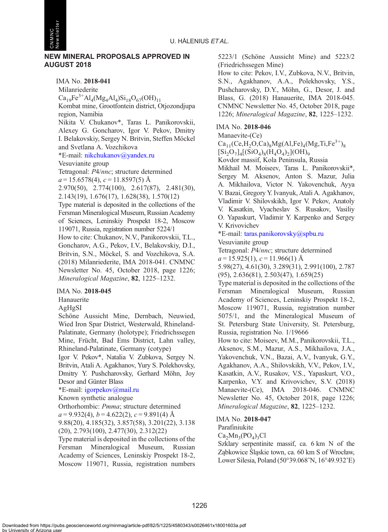

CNMNC Newsletter

> IMA No. 2018-041 Milanriederite  $Ca_{19}Fe^{3+}Al_4(Mg_4Al_4)Si_{18}O_{67}(OH)_{11}$ Kombat mine, Grootfontein district, Otjozondjupa region, Namibia Nikita V. Chukanov\*, Taras L. Panikorovskii, Alexey G. Goncharov, Igor V. Pekov, Dmitry I. Belakovskiy, Sergey N. Britvin, Steffen Möckel and Svetlana A. Vozchikova \*E-mail: [nikchukanov@yandex.ru](mailto:nikchukanov@yandex.ru) Vesuvianite group Tetragonal: P4/nnc; structure determined  $a = 15.6578(4), c = 11.8597(5)$  Å 2.970(50), 2.774(100), 2.617(87), 2.481(30), 2.143(19), 1.676(17), 1.628(38), 1.570(12) Type material is deposited in the collections of the Fersman Mineralogical Museum, Russian Academy of Sciences, Leninskiy Prospekt 18-2, Moscow 119071, Russia, registration number 5224/1 How to cite: Chukanov, N.V., Panikorovskii, T.L., Goncharov, A.G., Pekov, I.V., Belakovskiy, D.I., Britvin, S.N., Möckel, S. and Vozchikova, S.A. (2018) Milanriederite, IMA 2018-041. CNMNC Newsletter No. 45, October 2018, page 1226; Mineralogical Magazine, 82, 1225–1232.

#### IMA No. 2018-045

Hanauerite

AgHgSI

Schöne Aussicht Mine, Dernbach, Neuwied, Wied Iron Spar District, Westerwald, Rhineland-Palatinate, Germany (holotype); Friedrichssegen Mine, Frücht, Bad Ems District, Lahn valley, Rhineland-Palatinate, Germany (cotype)

Igor V. Pekov\*, Natalia V. Zubkova, Sergey N. Britvin, Atali A. Agakhanov, Yury S. Polekhovsky, Dmitry Y. Pushcharovsky, Gerhard Möhn, Joy Desor and Günter Blass

## \*E-mail: [igorpekov@mail.ru](mailto:igorpekov@mail.ru)

Known synthetic analogue

Orthorhombic: Pmma; structure determined  $a = 9.932(4)$ ,  $b = 4.622(2)$ ,  $c = 9.891(4)$  Å

9.88(20), 4.185(32), 3.857(58), 3.201(22), 3.138 (20), 2.793(100), 2.477(30), 2.312(22) Type material is deposited in the collections of the

Fersman Mineralogical Museum, Russian Academy of Sciences, Leninskiy Prospekt 18-2, Moscow 119071, Russia, registration numbers 5223/1 (Schöne Aussicht Mine) and 5223/2 (Friedrichssegen Mine)

How to cite: Pekov, I.V., Zubkova, N.V., Britvin, S.N., Agakhanov, A.A., Polekhovsky, Y.S., Pushcharovsky, D.Y., Möhn, G., Desor, J. and Blass, G. (2018) Hanauerite, IMA 2018-045. CNMNC Newsletter No. 45, October 2018, page 1226; Mineralogical Magazine, 82, 1225–1232.

## IMA No. 2018-046

#### Manaevite-(Ce)

 $Ca_{11}(Ce,H_2O,Ca)_{8}Mg(Al,Fe)_{4}(Mg,Ti,Fe^{3+})_{8}$  $[Si_2O_7]_4[(SiO_4)_8(H_4O_4)_2](OH)_9$ 

Kovdor massif, Kola Peninsula, Russia

Mikhail M. Moiseev, Taras L. Panikorovskii\*, Sergey M. Aksenov, Anton S. Mazur, Julia A. Mikhailova, Victor N. Yakovenchuk, Ayya V. Bazai, Gregory Y. Ivanyuk, Atali A. Agakhanov, Vladimir V. Shilovskikh, Igor V. Pekov, Anatoly V. Kasatkin, Vyacheslav S. Rusakov, Vasiliy O. Yapaskurt, Vladimir Y. Karpenko and Sergey V. Krivovichev

\*E-mail: [taras.panikorovsky@spbu.ru](mailto:taras.panikorovsky@spbu.ru)

Vesuvianite group

Tetragonal: P4/nnc; structure determined  $a = 15.925(1), c = 11.966(1)$  Å

5.98(27), 4.61(30), 3.289(31), 2.991(100), 2.787 (95), 2.636(81), 2.503(47), 1.659(25)

Type material is deposited in the collections of the Fersman Mineralogical Museum, Russian Academy of Sciences, Leninskiy Prospekt 18-2, Moscow 119071, Russia, registration number 5075/1, and the Mineralogical Museum of St. Petersburg State University, St. Petersburg, Russia, registration No. 1/19666

How to cite: Moiseev, M.M., Panikorovskii, T.L., Aksenov, S.M., Mazur, A.S., Mikhailova, J.A., Yakovenchuk, V.N., Bazai, A.V., Ivanyuk, G.Y., Agakhanov, A.A., Shilovskikh, V.V., Pekov, I.V., Kasatkin, A.V., Rusakov, V.S., Yapaskurt, V.O., Karpenko, V.Y. and Krivovichev, S.V. (2018) Manaevite-(Ce), IMA 2018-046. CNMNC Newsletter No. 45, October 2018, page 1226; Mineralogical Magazine, 82, 1225–1232.

## IMA No. 2018-047

#### Parafiniukite

 $Ca<sub>2</sub>Mn<sub>3</sub>(PO<sub>4</sub>)<sub>3</sub>Cl$ 

Szklary serpentinite massif, ca. 6 km N of the Ząbkowice Śląskie town, ca. 60 km S of Wrocław, Lower Silesia, Poland (50°39.068'N, 16°49.932'E)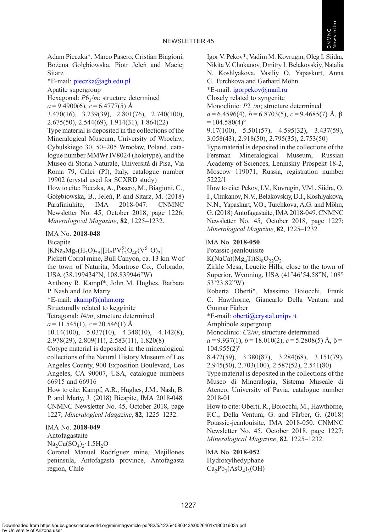

Adam Pieczka\*, Marco Pasero, Cristian Biagioni, Bożena Gołę biowska, Piotr Jeleń and Maciej Sitarz

\*E-mail: [pieczka@agh.edu.pl](mailto:pieczka@agh.edu.pl)

Apatite supergroup

Hexagonal:  $P6_3/m$ ; structure determined

 $a = 9.4900(6)$ ,  $c = 6.4777(5)$  Å

3.470(16), 3.239(39), 2.801(76), 2.740(100), 2.675(50), 2.544(69), 1.914(31), 1.864(22)

Type material is deposited in the collections of the Mineralogical Museum, University of Wrocław, Cybulskiego 30, 50–205 Wrocław, Poland, catalogue number MMWr IV8024 (holotype), and the Museo di Storia Naturale, Università di Pisa, Via Roma 79, Calci (PI), Italy, catalogue number 19902 (crystal used for SCXRD study)

How to cite: Pieczka, A., Pasero, M., Biagioni, C., Gołę biowska, B., Jeleń , P. and Sitarz, M. (2018) Parafiniukite, IMA 2018-047. CNMNC Newsletter No. 45, October 2018, page 1226; Mineralogical Magazine, 82, 1225–1232.

## IMA No. 2018-048

**B**icapite

 $\text{[KNa}_2\text{Mg}_2(\text{H}_2\text{O})_{25}]\text{[H}_2\text{PV}_{12}^{5+}\text{O}_{40}(\text{V}^{5+}\text{O})_2]$ Pickett Corral mine, Bull Canyon, ca. 13 km Wof the town of Naturita, Montrose Co., Colorado, USA (38.199434°N, 108.839946°W)

Anthony R. Kampf\*, John M. Hughes, Barbara P. Nash and Joe Marty

\*E-mail: [akampf@nhm.org](mailto:akampf@nhm.org)

Structurally related to kegginite

Tetragonal: I4/m; structure determined

 $a = 11.545(1), c = 20.546(1)$  Å

10.14(100), 5.037(10), 4.348(10), 4.142(8), 2.978(29), 2.809(11), 2.583(11), 1.820(8)

Cotype material is deposited in the mineralogical collections of the Natural History Museum of Los Angeles County, 900 Exposition Boulevard, Los Angeles, CA 90007, USA, catalogue numbers 66915 and 66916

How to cite: Kampf, A.R., Hughes, J.M., Nash, B. P. and Marty, J. (2018) Bicapite, IMA 2018-048. CNMNC Newsletter No. 45, October 2018, page 1227; Mineralogical Magazine, 82, 1225–1232.

## IMA No. 2018-049

Antofagastaite  $Na_2Ca(SO_4)_2 \cdot 1.5H_2O$ 

Coronel Manuel Rodríguez mine, Mejillones peninsula, Antofagasta province, Antofagasta region, Chile

Igor V. Pekov\*, Vadim M. Kovrugin, Oleg I. Siidra, Nikita V. Chukanov, Dmitry I. Belakovskiy, Natalia N. Koshlyakova, Vasiliy O. Yapaskurt, Anna G. Turchkova and Gerhard Möhn

\*E-mail: [igorpekov@mail.ru](mailto:igorpekov@mail.ru)

Closely related to syngenite

Monoclinic:  $P2_1/m$ ; structure determined

 $a = 6.4596(4)$ ,  $b = 6.8703(5)$ ,  $c = 9.4685(7)$  Å,  $\beta$  $= 104.580(4)$ °

9.17(100), 5.501(57), 4.595(32), 3.437(59), 3.058(43), 2.918(50), 2.795(35), 2.753(50)

Type material is deposited in the collections of the Fersman Mineralogical Museum, Russian Academy of Sciences, Leninskiy Prospekt 18-2, Moscow 119071, Russia, registration number 5222/1

How to cite: Pekov, I.V., Kovrugin, V.M., Siidra, O. I., Chukanov, N.V., Belakovskiy, D.I., Koshlyakova, N.N., Yapaskurt, V.O., Turchkova, A.G. and Möhn, G. (2018) Antofagastaite, IMA 2018-049. CNMNC Newsletter No. 45, October 2018, page 1227; Mineralogical Magazine, 82, 1225–1232.

## IMA No. 2018-050

Potassic-jeanlouisite

 $K(NaCa)(Mg<sub>4</sub>Ti)Si<sub>8</sub>O<sub>22</sub>O<sub>2</sub>$ 

Zirkle Mesa, Leucite Hills, close to the town of Superior, Wyoming, USA (41°46'54.58"N, 108° 53'23.82"W)

Roberta Oberti\*, Massimo Boiocchi, Frank C. Hawthorne, Giancarlo Della Ventura and Gunnar Färber

\*E-mail: [oberti@crystal.unipv.it](mailto:oberti@crystal.unipv.it)

Amphibole supergroup

Monoclinic: C2/m; structure determined

 $a = 9.937(1), b = 18.010(2), c = 5.2808(5)$  Å,  $\beta =$  $104.955(2)$ °

8.472(59), 3.380(87), 3.284(68), 3.151(79), 2.945(50), 2.703(100), 2.587(52), 2.541(80)

Type material is deposited in the collections of the Museo di Mineralogia, Sistema Museale di Ateneo, University of Pavia, catalogue number 2018-01

How to cite: Oberti, R., Boiocchi, M., Hawthorne, F.C., Della Ventura, G. and Färber, G. (2018) Potassic-jeanlouisite, IMA 2018-050. CNMNC Newsletter No. 45, October 2018, page 1227; Mineralogical Magazine, 82, 1225–1232.

IMA No. 2018-052

Hydroxylhedyphane  $Ca_2Pb_3(AsO_4)_3(OH)$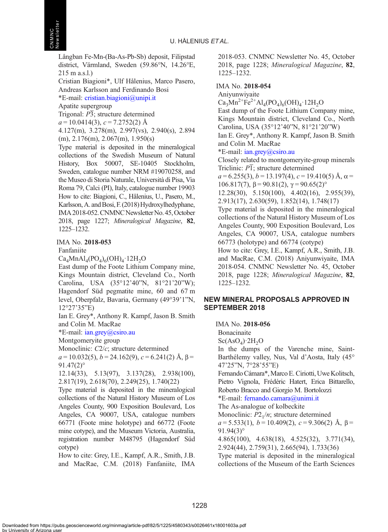Långban Fe-Mn-(Ba-As-Pb-Sb) deposit, Filipstad district, Värmland, Sweden (59.86°N, 14.26°E, 215 m a.s.l.)

Cristian Biagioni\*, Ulf Hålenius, Marco Pasero, Andreas Karlsson and Ferdinando Bosi

\*E-mail: [cristian.biagioni@unipi.it](mailto:cristian.biagioni@unipi.it)

Apatite supergroup

Trigonal:  $\overline{P3}$ ; structure determined

 $a = 10.0414(3), c = 7.2752(2)$  Å

4.127(m), 3.278(m), 2.997(vs), 2.940(s), 2.894 (m), 2.176(m), 2.067(m), 1.950(s)

Type material is deposited in the mineralogical collections of the Swedish Museum of Natural History, Box 50007, SE-10405 Stockholm, Sweden, catalogue number NRM #19070258, and the Museo di Storia Naturale, Università di Pisa, Via Roma 79, Calci (PI), Italy, catalogue number 19903 How to cite: Biagioni, C., Hålenius, U., Pasero, M., Karlsson, A. and Bosi, F. (2018) Hydroxylhedyphane, IMA 2018-052. CNMNC Newsletter No. 45, October 2018, page 1227; Mineralogical Magazine, 82, 1225–1232.

## IMA No. 2018-053

Fanfaniite

 $Ca<sub>4</sub>MnAl<sub>4</sub>(PO<sub>4</sub>)<sub>6</sub>(OH)<sub>4</sub>·12H<sub>2</sub>O$ 

East dump of the Foote Lithium Company mine, Kings Mountain district, Cleveland Co., North Carolina, USA (35°12'40"N, 81°21'20"W); Hagendorf Süd pegmatite mine, 60 and 67 m level, Oberpfalz, Bavaria, Germany (49°39'1"N, 12°27'35"E)

Ian E. Grey\*, Anthony R. Kampf, Jason B. Smith and Colin M. MacRae

\*E-mail: [ian.grey@csiro.au](mailto:ian.grey@csiro.au)

Montgomeryite group

Monoclinic: C2/c; structure determined

 $a = 10.032(5)$ ,  $b = 24.162(9)$ ,  $c = 6.241(2)$  Å,  $\beta =$  $91.47(2)$ °

12.14(33), 5.13(97), 3.137(28), 2.938(100), 2.817(19), 2.618(70), 2.249(25), 1.740(22)

Type material is deposited in the mineralogical collections of the Natural History Museum of Los Angeles County, 900 Exposition Boulevard, Los Angeles, CA 90007, USA, catalogue numbers 66771 (Foote mine holotype) and 66772 (Foote mine cotype), and the Museum Victoria, Australia, registration number M48795 (Hagendorf Süd cotype)

How to cite: Grey, I.E., Kampf, A.R., Smith, J.B. and MacRae, C.M. (2018) Fanfaniite, IMA 2018-053. CNMNC Newsletter No. 45, October 2018, page 1228; Mineralogical Magazine, 82, 1225–1232.

## IMA No. 2018-054

Aniyunwiyaite  $Ca_3Mn^{2+}Fe^{2+}Al_4(PO_4)_6(OH)_4.12H_2O$ East dump of the Foote Lithium Company mine, Kings Mountain district, Cleveland Co., North Carolina, USA (35°12'40"N, 81°21'20"W) Ian E. Grey\*, Anthony R. Kampf, Jason B. Smith and Colin M. MacRae \*E-mail: [ian.grey@csiro.au](mailto:ian.grey@csiro.au) Closely related to montgomeryite-group minerals Triclinic:  $\overline{P1}$ ; structure determined  $a = 6.255(3), b = 13.197(4), c = 19.410(5)$  Å,  $\alpha =$ 106.817(7),  $β = 90.81(2)$ ,  $γ = 90.65(2)°$ 12.28(30), 5.150(100), 4.402(16), 2.955(39), 2.913(17), 2.630(59), 1.852(14), 1.748(17) Type material is deposited in the mineralogical collections of the Natural History Museum of Los Angeles County, 900 Exposition Boulevard, Los Angeles, CA 90007, USA, catalogue numbers 66773 (holotype) and 66774 (cotype) How to cite: Grey, I.E., Kampf, A.R., Smith, J.B. and MacRae, C.M. (2018) Aniyunwiyaite, IMA 2018-054. CNMNC Newsletter No. 45, October 2018, page 1228; Mineralogical Magazine, 82, 1225–1232.

## NEW MINERAL PROPOSALS APPROVED IN SEPTEMBER 2018

IMA No. 2018-056

Bonacinaite

 $Sc(AsO<sub>4</sub>)·2H<sub>2</sub>O$ 

In the dumps of the Varenche mine, Saint-Barthélemy valley, Nus, Val d'Aosta, Italy (45° 47'25"N, 7°28'55"E)

Fernando Cámara\*,Marco E. Ciriotti, Uwe Kolitsch, Pietro Vignola, Frédéric Hatert, Erica Bittarello, Roberto Bracco and Giorgio M. Bortolozzi

\*E-mail: [fernando.camara@unimi.it](mailto:fernando.camara@unimi.it)

The As-analogue of kolbeckite Monoclinic:  $P2<sub>1</sub>/n$ ; structure determined  $a = 5.533(1), b = 10.409(2), c = 9.306(2)$  Å,  $\beta =$ 

91.94(3)°

4.865(100), 4.638(18), 4.525(32), 3.771(34), 2.924(44), 2.759(31), 2.665(94), 1.733(36)

Type material is deposited in the mineralogical collections of the Museum of the Earth Sciences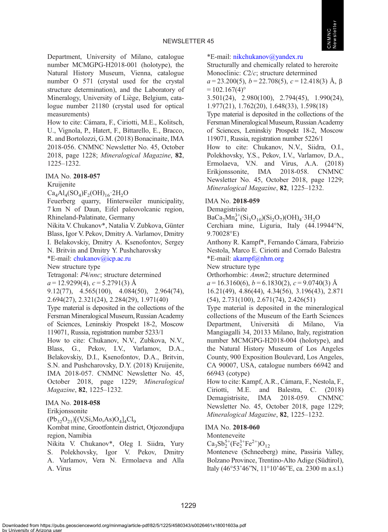

Department, University of Milano, catalogue number MCMGPG-H2018-001 (holotype), the Natural History Museum, Vienna, catalogue number O 571 (crystal used for the crystal structure determination), and the Laboratory of Mineralogy, University of Liège, Belgium, catalogue number 21180 (crystal used for optical measurements)

How to cite: Cámara, F., Ciriotti, M.E., Kolitsch, U., Vignola, P., Hatert, F., Bittarello, E., Bracco, R. and Bortolozzi, G.M. (2018) Bonacinaite, IMA 2018-056. CNMNC Newsletter No. 45, October 2018, page 1228; Mineralogical Magazine, 82, 1225–1232.

## IMA No. 2018-057

Kruijenite

 $Ca<sub>4</sub>Al<sub>4</sub>(SO<sub>4</sub>)F<sub>2</sub>(OH)<sub>16</sub>·2H<sub>2</sub>O$ 

Feuerberg quarry, Hinterweiler municipality, 7 km N of Daun, Eifel paleovolcanic region, Rhineland-Palatinate, Germany

Nikita V. Chukanov\*, Natalia V. Zubkova, Günter Blass, Igor V. Pekov, Dmitry A. Varlamov, Dmitry I. Belakovskiy, Dmitry A. Ksenofontov, Sergey

N. Britvin and Dmitry Y. Pushcharovsky

\*E-mail: [chukanov@icp.ac.ru](mailto:chukanov@icp.ac.ru)

New structure type

Tetragonal: P4/nnc; structure determined

 $a = 12.9299(4), c = 5.2791(3)$  Å

9.12(77), 4.565(100), 4.084(50), 2.964(74), 2.694(27), 2.321(24), 2.284(29), 1.971(40)

Type material is deposited in the collections of the FersmanMineralogicalMuseum, Russian Academy of Sciences, Leninskiy Prospekt 18-2, Moscow 119071, Russia, registration number 5233/1

How to cite: Chukanov, N.V., Zubkova, N.V., Blass, G., Pekov, I.V., Varlamov, D.A., Belakovskiy, D.I., Ksenofontov, D.A., Britvin, S.N. and Pushcharovsky, D.Y. (2018) Kruijenite, IMA 2018-057. CNMNC Newsletter No. 45, October 2018, page 1229; Mineralogical Magazine, 82, 1225–1232.

#### IMA No. 2018-058

Erikjonssonite

 $(Pb_{32}O_{21})[(V,Si,Mo,As)O<sub>4</sub>]<sub>4</sub>Cl<sub>9</sub>$ 

Kombat mine, Grootfontein district, Otjozondjupa region, Namibia

Nikita V. Chukanov\*, Oleg I. Siidra, Yury S. Polekhovsky, Igor V. Pekov, Dmitry A. Varlamov, Vera N. Ermolaeva and Alla A. Virus

\*E-mail: [nikchukanov@yandex.ru](mailto:nikchukanov@yandex.ru)

Structurally and chemically related to hereroite Monoclinic: C2/c; structure determined  $a = 23.200(5)$ ,  $b = 22.708(5)$ ,  $c = 12.418(3)$  Å,  $\beta$ 

 $= 102.167(4)^{\circ}$ 3.501(24), 2.980(100), 2.794(45), 1.990(24),

1.977(21), 1.762(20), 1.648(33), 1.598(18)

Type material is deposited in the collections of the Fersman Mineralogical Museum, Russian Academy of Sciences, Leninskiy Prospekt 18-2, Moscow 119071, Russia, registration number 5226/1

How to cite: Chukanov, N.V., Siidra, O.I., Polekhovsky, Y.S., Pekov, I.V., Varlamov, D.A., Ermolaeva, V.N. and Virus, A.A. (2018) Erikjonssonite, IMA 2018-058. CNMNC Newsletter No. 45, October 2018, page 1229; Mineralogical Magazine, 82, 1225–1232.

#### IMA No. 2018-059

Demagistrisite

 $BaCa<sub>2</sub>Mn<sub>4</sub><sup>3+</sup>(Si<sub>3</sub>O<sub>10</sub>)(Si<sub>2</sub>O<sub>7</sub>)(OH)<sub>4</sub>·3H<sub>2</sub>O$ 

Cerchiara mine, Liguria, Italy (44.19944°N, 9.70028°E)

Anthony R. Kampf\*, Fernando Cámara, Fabrizio Nestola, Marco E. Ciriotti and Corrado Balestra \*E-mail: [akampf@nhm.org](mailto:akampf@nhm.org)

New structure type

Orthorhombic: Amm2; structure determined

 $a = 16.3160(6)$ ,  $b = 6.1830(2)$ ,  $c = 9.0740(3)$  Å

16.21(49), 4.86(44), 4.34(56), 3.196(43), 2.871 (54), 2.731(100), 2.671(74), 2.426(51)

Type material is deposited in the mineralogical collections of the Museum of the Earth Sciences Department, Università di Milano, Via Mangiagalli 34, 20133 Milano, Italy, registration number MCMGPG-H2018-004 (holotype), and the Natural History Museum of Los Angeles County, 900 Exposition Boulevard, Los Angeles, CA 90007, USA, catalogue numbers 66942 and 66943 (cotype)

How to cite: Kampf, A.R., Cámara, F., Nestola, F., Ciriotti, M.E. and Balestra, C. (2018) Demagistrisite, IMA 2018-059. CNMNC Newsletter No. 45, October 2018, page 1229; Mineralogical Magazine, 82, 1225–1232.

#### IMA No. 2018-060

## Monteneveite

 $Ca<sub>3</sub>Sb<sub>2</sub><sup>5+</sup>(Fe<sub>2</sub><sup>3+</sup>Fe<sup>2+</sup>)O<sub>12</sub>$ 

Monteneve (Schneeberg) mine, Passiria Valley, Bolzano Province, Trentino-Alto Adige (Südtirol), Italy (46°53'46"N, 11°10'46"E, ca. 2300 m a.s.l.)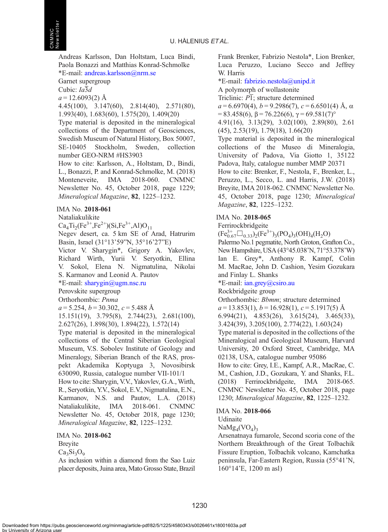Andreas Karlsson, Dan Holtstam, Luca Bindi, Paola Bonazzi and Matthias Konrad-Schmolke \*E-mail: [andreas.karlsson@nrm.se](mailto:andreas.karlsson@nrm.se)

Garnet supergroup

Cubic: Ia3d

 $a = 12.6093(2)$  Å

4.45(100), 3.147(60), 2.814(40), 2.571(80), 1.993(40), 1.683(60), 1.575(20), 1.409(20)

Type material is deposited in the mineralogical collections of the Department of Geosciences, Swedish Museum of Natural History, Box 50007, SE-10405 Stockholm, Sweden, collection number GEO-NRM #HS3903

How to cite: Karlsson, A., Holtstam, D., Bindi, L., Bonazzi, P. and Konrad-Schmolke, M. (2018) Monteneveite, IMA 2018-060. CNMNC Newsletter No. 45, October 2018, page 1229; Mineralogical Magazine, 82, 1225–1232.

#### IMA No. 2018-061

Nataliakulikite

 $Ca<sub>4</sub>Ti<sub>2</sub>(Fe<sup>3+</sup>,Fe<sup>2+</sup>)(Si,Fe<sup>3+</sup>,Al)O<sub>11</sub>$ 

Negev desert, ca. 5 km SE of Arad, Hatrurim Basin, Israel (31°13'59"N, 35°16'27"E)

Victor V. Sharygin\*, Grigory A. Yakovlev, Richard Wirth, Yurii V. Seryotkin, Ellina V. Sokol, Elena N. Nigmatulina, Nikolai S. Karmanov and Leonid A. Pautov

\*E-mail: [sharygin@ugm.nsc.ru](mailto:sharygin@ugm.nsc.ru)

Perovskite supergroup

Orthorhombic: Pnma

 $a = 5.254, b = 30.302, c = 5.488$  Å

15.151(19), 3.795(8), 2.744(23), 2.681(100), 2.627(26), 1.898(30), 1.894(22), 1.572(14)

Type material is deposited in the mineralogical collections of the Central Siberian Geological Museum, V.S. Sobolev Institute of Geology and Mineralogy, Siberian Branch of the RAS, prospekt Akademika Koptyuga 3, Novosibirsk 630090, Russia, catalogue number VII-101/1

How to cite: Sharygin, V.V., Yakovlev, G.A., Wirth, R., Seryotkin, Y.V., Sokol, E.V., Nigmatulina, E.N., Karmanov, N.S. and Pautov, L.A. (2018) Nataliakulikite, IMA 2018-061. CNMNC Newsletter No. 45, October 2018, page 1230; Mineralogical Magazine, 82, 1225–1232.

IMA No. 2018-062

**Brevite** 

 $Ca<sub>2</sub>Si<sub>2</sub>O<sub>0</sub>$ 

As inclusion within a diamond from the Sao Luiz placer deposits, Juina area, Mato Grosso State, Brazil

Frank Brenker, Fabrizio Nestola\*, Lion Brenker, Luca Peruzzo, Luciano Secco and Jeffrey W. Harris

\*E-mail: [fabrizio.nestola@unipd.it](mailto:fabrizio.nestola@unipd.it)

A polymorph of wollastonite

Triclinic:  $\overline{PI}$ ; structure determined

 $a = 6.6970(4), b = 9.2986(7), c = 6.6501(4)$  Å, α  $= 83.458(6), \beta = 76.226(6), \gamma = 69.581(7)$ °

4.91(16), 3.13(29), 3.02(100), 2.89(80), 2.61 (45), 2.53(19), 1.79(18), 1.66(20)

Type material is deposited in the mineralogical collections of the Museo di Mineralogia, University of Padova, Via Giotto 1, 35122 Padova, Italy, catalogue number MMP 20371

How to cite: Brenker, F., Nestola, F., Brenker, L., Peruzzo, L., Secco, L. and Harris, J.W. (2018) Breyite, IMA 2018-062. CNMNC Newsletter No. 45, October 2018, page 1230; Mineralogical Magazine, 82, 1225–1232.

## IMA No. 2018-065

Ferrirockbridgeite

 $(Fe_{0.67}^{3+} \square_{0.33})_2(Fe^{3+})_3(PO_4)_3(OH)_4(H_2O)$ 

Palermo No.1 pegmatite, North Groton, Grafton Co., New Hampshire, USA (43°45.038'N, 71°53.378'W) Ian E. Grey\*, Anthony R. Kampf, Colin M. MacRae, John D. Cashion, Yesim Gozukara and Finlay L. Shanks

## \*E-mail: [ian.grey@csiro.au](mailto:ian.grey@csiro.au)

#### Rockbridgeite group

Orthorhombic: Bbmm; structure determined  $a = 13.853(1), b = 16.928(1), c = 5.1917(5)$  Å 6.994(21), 4.853(26), 3.615(24), 3.465(33), 3.424(39), 3.205(100), 2.774(22), 1.603(24) Type material is deposited in the collections of the Mineralogical and Geological Museum, Harvard University, 20 Oxford Street, Cambridge, MA 02138, USA, catalogue number 95086 How to cite: Grey, I.E., Kampf, A.R., MacRae, C. M., Cashion, J.D., Gozukara, Y. and Shanks, F.L. (2018) Ferrirockbridgeite, IMA 2018-065. CNMNC Newsletter No. 45, October 2018, page 1230; Mineralogical Magazine, 82, 1225–1232.

## IMA No. 2018-066

## Udinaite

 $NaMg_4(VO_4)$ <sub>2</sub>

Arsenatnaya fumarole, Second scoria cone of the Northern Breakthrough of the Great Tolbachik Fissure Eruption, Tolbachik volcano, Kamchatka peninsula, Far-Eastern Region, Russia (55°41'N, 160°14'E, 1200 m asl)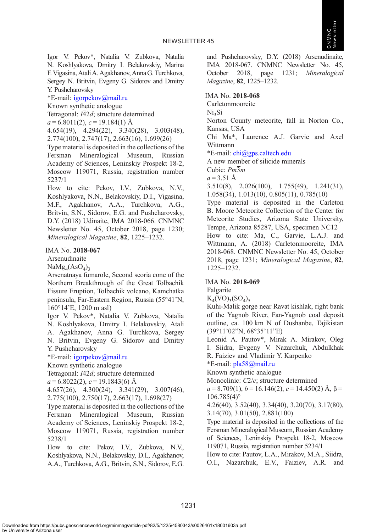

Igor V. Pekov\*, Natalia V. Zubkova, Natalia N. Koshlyakova, Dmitry I. Belakovskiy, Marina F. Vigasina, Atali A. Agakhanov, Anna G. Turchkova, Sergey N. Britvin, Evgeny G. Sidorov and Dmitry Y. Pushcharovsky

\*E-mail: [igorpekov@mail.ru](mailto:igorpekov@mail.ru)

Known synthetic analogue

Tetragonal:  $I\overline{4}2d$ ; structure determined

 $a = 6.8011(2), c = 19.184(1)$  Å

4.654(19), 4.294(22), 3.340(28), 3.003(48), 2.774(100), 2.747(17), 2.663(16), 1.699(26)

Type material is deposited in the collections of the Fersman Mineralogical Museum, Russian Academy of Sciences, Leninskiy Prospekt 18-2, Moscow 119071, Russia, registration number 5237/1

How to cite: Pekov, I.V., Zubkova, N.V., Koshlyakova, N.N., Belakovskiy, D.I., Vigasina, M.F., Agakhanov, A.A., Turchkova, A.G., Britvin, S.N., Sidorov, E.G. and Pushcharovsky, D.Y. (2018) Udinaite, IMA 2018-066. CNMNC Newsletter No. 45, October 2018, page 1230; Mineralogical Magazine, 82, 1225–1232.

#### IMA No. 2018-067

Arsenudinaite

 $NaMg_4(AsO_4)_3$ 

Arsenatnaya fumarole, Second scoria cone of the Northern Breakthrough of the Great Tolbachik Fissure Eruption, Tolbachik volcano, Kamchatka peninsula, Far-Eastern Region, Russia (55°41'N, 160°14'E, 1200 m asl)

Igor V. Pekov\*, Natalia V. Zubkova, Natalia N. Koshlyakova, Dmitry I. Belakovskiy, Atali A. Agakhanov, Anna G. Turchkova, Sergey N. Britvin, Evgeny G. Sidorov and Dmitry Y. Pushcharovsky

\*E-mail: [igorpekov@mail.ru](mailto:igorpekov@mail.ru)

Known synthetic analogue

Tetragonal:  $I\overline{4}2d$ ; structure determined

 $a = 6.8022(2), c = 19.1843(6)$  Å

4.657(26), 4.300(24), 3.341(29), 3.007(46), 2.775(100), 2.750(17), 2.663(17), 1.698(27)

Type material is deposited in the collections of the Fersman Mineralogical Museum, Russian Academy of Sciences, Leninskiy Prospekt 18-2, Moscow 119071, Russia, registration number 5238/1

How to cite: Pekov, I.V., Zubkova, N.V., Koshlyakova, N.N., Belakovskiy, D.I., Agakhanov, A.A., Turchkova, A.G., Britvin, S.N., Sidorov, E.G. and Pushcharovsky, D.Y. (2018) Arsenudinaite, IMA 2018-067. CNMNC Newsletter No. 45, October 2018, page 1231; Mineralogical Magazine, 82, 1225–1232.

IMA No. 2018-068

Carletonmooreite

Ni<sub>2</sub>Si

Norton County meteorite, fall in Norton Co., Kansas, USA

Chi Ma\*, Laurence A.J. Garvie and Axel Wittmann

\*E-mail: [chi@gps.caltech.edu](mailto:chi@gps.caltech.edu)

A new member of silicide minerals

Cubic: Pm3m

 $a = 3.51 \text{ Å}$ 

3.510(8), 2.026(100), 1.755(49), 1.241(31), 1.058(34), 1.013(10), 0.805(11), 0.785(10)

Type material is deposited in the Carleton B. Moore Meteorite Collection of the Center for Meteorite Studies, Arizona State University, Tempe, Arizona 85287, USA, specimen NC12 How to cite: Ma, C., Garvie, L.A.J. and Wittmann, A. (2018) Carletonmooreite, IMA 2018-068. CNMNC Newsletter No. 45, October

2018, page 1231; Mineralogical Magazine, 82, 1225–1232.

## IMA No. 2018-069

Falgarite

 $K_4(VO)_{3}(SO_4)_{5}$ 

Kuhi-Malik gorge near Ravat kishlak, right bank of the Yagnob River, Fan-Yagnob coal deposit outline, ca. 100 km N of Dushanbe, Tajikistan (39°11'02"N, 68°35'11"E)

Leonid A. Pautov\*, Mirak A. Mirakov, Oleg I. Siidra, Еvgeny V. Nazarchuk, Abdulkhak R. Faiziev and Vladimir Y. Karpenko

\*E-mail: [pla58@mail.ru](mailto:pla58@mail.ru)

Known synthetic analogue

Monoclinic: C2/c; structure determined  $a = 8.709(1)$ ,  $b = 16.146(2)$ ,  $c = 14.450(2)$  Å,  $\beta =$ 

 $106.785(4)°$ 

4.26(40), 3.52(40), 3.34(40), 3.20(70), 3.17(80), 3.14(70), 3.01(50), 2.881(100)

Type material is deposited in the collections of the Fersman Mineralogical Museum, Russian Academy of Sciences, Leninskiy Prospekt 18-2, Moscow 119071, Russia, registration number 5234/1

How to cite: Pautov, L.A., Mirakov, M.A., Siidra, O.I., Nazarchuk, Е.V., Faiziev, A.R. and